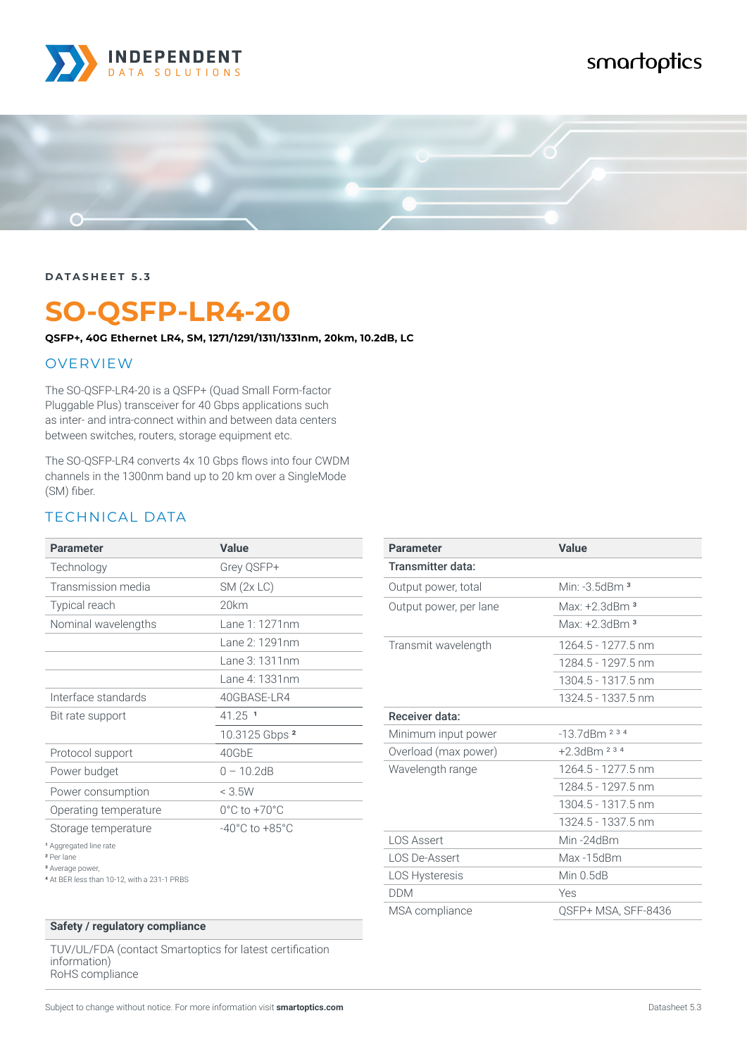

# smartoptics



#### **DATASHEET 5.3**

# **SO-QSFP-LR4-20**

**QSFP+, 40G Ethernet LR4, SM, 1271/1291/1311/1331nm, 20km, 10.2dB, LC**

#### OVERVIEW

The SO-QSFP-LR4-20 is a QSFP+ (Quad Small Form-factor Pluggable Plus) transceiver for 40 Gbps applications such as inter- and intra-connect within and between data centers between switches, routers, storage equipment etc.

The SO-QSFP-LR4 converts 4x 10 Gbps flows into four CWDM channels in the 1300nm band up to 20 km over a SingleMode (SM) fiber.

### TECHNICAL DATA

| <b>Parameter</b>                                                                                                                         | <b>Value</b>                       |
|------------------------------------------------------------------------------------------------------------------------------------------|------------------------------------|
| Technology                                                                                                                               | Grey QSFP+                         |
| Transmission media                                                                                                                       | $SM$ (2x LC)                       |
| Typical reach                                                                                                                            | 20km                               |
| Nominal wavelengths                                                                                                                      | $l$ ane 1: 1271nm                  |
|                                                                                                                                          | $l$ ane $2:1291$ nm                |
|                                                                                                                                          | $l$ ane $3:1311$ nm                |
|                                                                                                                                          | Lane 4: 1331nm                     |
| Interface standards                                                                                                                      | 40GBASE-LR4                        |
| Bit rate support                                                                                                                         | $41.25$ <sup>1</sup>               |
|                                                                                                                                          | 10.3125 Gbps 2                     |
| Protocol support                                                                                                                         | 40GbE                              |
| Power budget                                                                                                                             | $0 - 10.2dB$                       |
| Power consumption                                                                                                                        | < 3.5W                             |
| Operating temperature                                                                                                                    | $0^{\circ}$ C to +70 $^{\circ}$ C  |
| Storage temperature                                                                                                                      | $-40^{\circ}$ C to $+85^{\circ}$ C |
| <sup>1</sup> Aggregated line rate<br><sup>2</sup> Per lane<br><sup>3</sup> Average power,<br>4 At BER less than 10-12, with a 231-1 PRBS |                                    |

#### **Safety / regulatory compliance**

TUV/UL/FDA (contact Smartoptics for latest certification information) RoHS compliance

| <b>Value</b>        |
|---------------------|
|                     |
| Min: $-3.5$ dBm $3$ |
| Max: $+2$ 3dBm $^3$ |
| Max: $+2$ 3dBm $^3$ |
| 1264.5 - 1277.5 nm  |
| 1284 5 - 1297 5 nm  |
| 1304.5 - 1317.5 nm  |
| 1324.5 - 1337.5 nm  |
|                     |
| $-13.7$ dBm $234$   |
| $+2.3$ dBm $2.3.4$  |
| 1264.5 - 1277.5 nm  |
| 1284 5 - 1297 5 nm  |
| 1304.5 - 1317.5 nm  |
| 1324.5 - 1337.5 nm  |
| Min-24dBm           |
| Max-15dBm           |
| Min $0.5dB$         |
| Yes                 |
| QSFP+ MSA, SFF-8436 |
|                     |